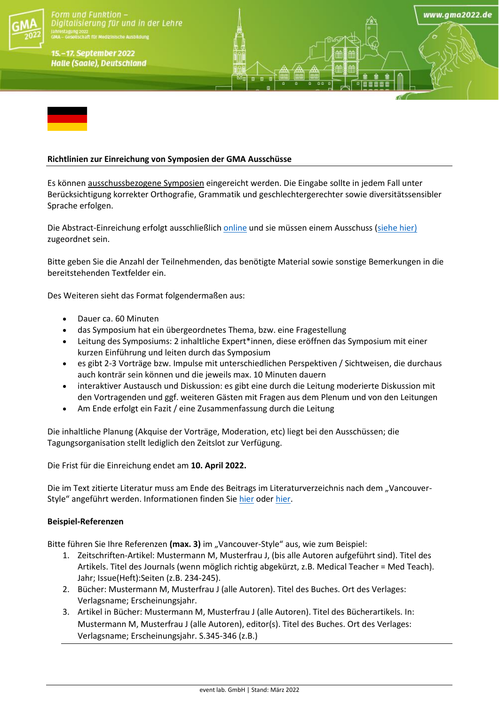

orm und Funktion italisierung für und in der Lehre

15.-17. September 2022 **Halle (Saale), Deutschland** 

## **Richtlinien zur Einreichung von Symposien der GMA Ausschüsse**

Es können ausschussbezogene Symposien eingereicht werden. Die Eingabe sollte in jedem Fall unter Berücksichtigung korrekter Orthografie, Grammatik und geschlechtergerechter sowie diversitätssensibler Sprache erfolgen.

www.gma2022.de

Die Abstract-Einreichung erfolgt ausschließlich [online](https://eventclass.org/contxt_gma2022/) und sie müssen einem Ausschuss [\(siehe hier\)](https://gesellschaft-medizinische-ausbildung.org/ausschuesse.html) zugeordnet sein.

Bitte geben Sie die Anzahl der Teilnehmenden, das benötigte Material sowie sonstige Bemerkungen in die bereitstehenden Textfelder ein.

Des Weiteren sieht das Format folgendermaßen aus:

- Dauer ca. 60 Minuten
- das Symposium hat ein übergeordnetes Thema, bzw. eine Fragestellung
- Leitung des Symposiums: 2 inhaltliche Expert\*innen, diese eröffnen das Symposium mit einer kurzen Einführung und leiten durch das Symposium
- es gibt 2-3 Vorträge bzw. Impulse mit unterschiedlichen Perspektiven / Sichtweisen, die durchaus auch konträr sein können und die jeweils max. 10 Minuten dauern
- interaktiver Austausch und Diskussion: es gibt eine durch die Leitung moderierte Diskussion mit den Vortragenden und ggf. weiteren Gästen mit Fragen aus dem Plenum und von den Leitungen
- Am Ende erfolgt ein Fazit / eine Zusammenfassung durch die Leitung

Die inhaltliche Planung (Akquise der Vorträge, Moderation, etc) liegt bei den Ausschüssen; die Tagungsorganisation stellt lediglich den Zeitslot zur Verfügung.

Die Frist für die Einreichung endet am **10. April 2022.**

Die im Text zitierte Literatur muss am Ende des Beitrags im Literaturverzeichnis nach dem "VancouverStyle" angeführt werden. Informationen finden Sie [hier](https://www.nlm.nih.gov/bsd/uniform_requirements.html) oder [hier.](https://guides.lib.monash.edu/citing-referencing/vancouver)

## **Beispiel-Referenzen**

Bitte führen Sie Ihre Referenzen (max. 3) im "Vancouver-Style" aus, wie zum Beispiel:

- 1. Zeitschriften-Artikel: Mustermann M, Musterfrau J, (bis alle Autoren aufgeführt sind). Titel des Artikels. Titel des Journals (wenn möglich richtig abgekürzt, z.B. Medical Teacher = Med Teach). Jahr; Issue(Heft):Seiten (z.B. 234-245).
- 2. Bücher: Mustermann M, Musterfrau J (alle Autoren). Titel des Buches. Ort des Verlages: Verlagsname; Erscheinungsjahr.
- 3. Artikel in Bücher: Mustermann M, Musterfrau J (alle Autoren). Titel des Bücherartikels. In: Mustermann M, Musterfrau J (alle Autoren), editor(s). Titel des Buches. Ort des Verlages: Verlagsname; Erscheinungsjahr. S.345-346 (z.B.)